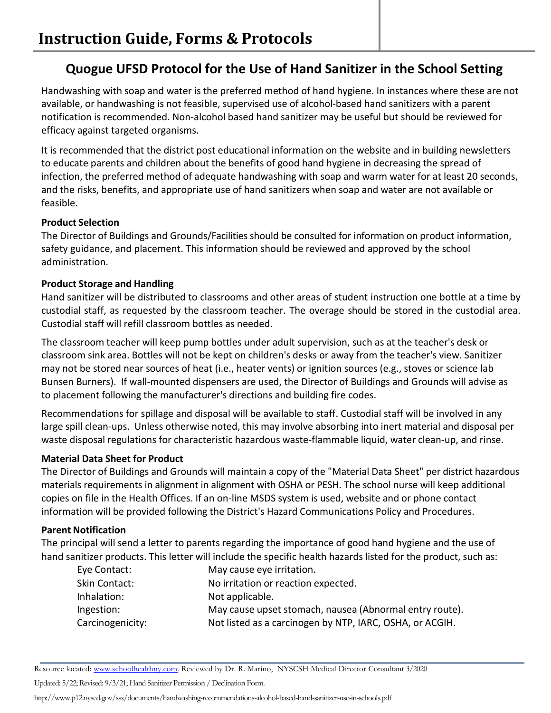# **Quogue UFSD Protocol for the Use of Hand Sanitizer in the School Setting**

Handwashing with soap and water is the preferred method of hand hygiene. In instances where these are not available, or handwashing is not feasible, supervised use of alcohol-based hand sanitizers with a parent notification is recommended. Non-alcohol based hand sanitizer may be useful but should be reviewed for efficacy against targeted organisms.

It is recommended that the district post educational information on the website and in building newsletters to educate parents and children about the benefits of good hand hygiene in decreasing the spread of infection, the preferred method of adequate handwashing with soap and warm water for at least 20 seconds, and the risks, benefits, and appropriate use of hand sanitizers when soap and water are not available or feasible.

## **Product Selection**

The Director of Buildings and Grounds/Facilities should be consulted for information on product information, safety guidance, and placement. This information should be reviewed and approved by the school administration.

## **Product Storage and Handling**

Hand sanitizer will be distributed to classrooms and other areas of student instruction one bottle at a time by custodial staff, as requested by the classroom teacher. The overage should be stored in the custodial area. Custodial staff will refill classroom bottles as needed.

The classroom teacher will keep pump bottles under adult supervision, such as at the teacher's desk or classroom sink area. Bottles will not be kept on children's desks or away from the teacher's view. Sanitizer may not be stored near sources of heat (i.e., heater vents) or ignition sources (e.g., stoves or science lab Bunsen Burners). If wall-mounted dispensers are used, the Director of Buildings and Grounds will advise as to placement following the manufacturer's directions and building fire codes.

Recommendations for spillage and disposal will be available to staff. Custodial staff will be involved in any large spill clean-ups. Unless otherwise noted, this may involve absorbing into inert material and disposal per waste disposal regulations for characteristic hazardous waste-flammable liquid, water clean-up, and rinse.

## **Material Data Sheet for Product**

The Director of Buildings and Grounds will maintain a copy of the "Material Data Sheet" per district hazardous materials requirements in alignment in alignment with OSHA or PESH. The school nurse will keep additional copies on file in the Health Offices. If an on-line MSDS system is used, website and or phone contact information will be provided following the District's Hazard Communications Policy and Procedures.

## **Parent Notification**

The principal will send a letter to parents regarding the importance of good hand hygiene and the use of hand sanitizer products. This letter will include the specific health hazards listed for the product, such as:

| Eye Contact:     | May cause eye irritation.                                |
|------------------|----------------------------------------------------------|
| Skin Contact:    | No irritation or reaction expected.                      |
| Inhalation:      | Not applicable.                                          |
| Ingestion:       | May cause upset stomach, nausea (Abnormal entry route).  |
| Carcinogenicity: | Not listed as a carcinogen by NTP, IARC, OSHA, or ACGIH. |

Updated: 5/22; Revised: 9/3/21; Hand Sanitizer Permission / Declination Form.

Resource located: www.schoolhealthny.com. Reviewed by Dr. R. Marino, NYSCSH Medical Director Consultant 3/2020

http://www.p12.nysed.gov/sss/documents/handwashing-recommendations-alcohol-based-hand-sanitizer-use-in-schools.pdf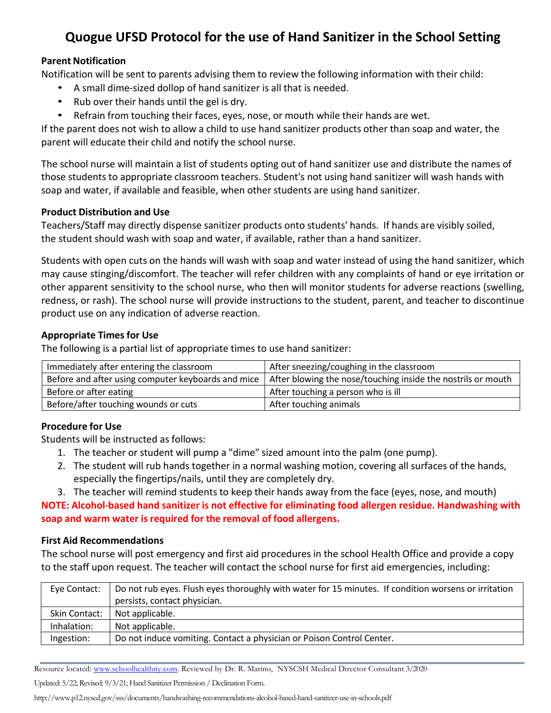# **Quogue UFSD Protocol for the use of Hand Sanitizer in the School Setting**

## **Parent Notification**

Notification will be sent to parents advising them to review the following information with their child:

- A small dime-sized dollop of hand sanitizer is all that is needed.
- Rub over their hands until the gel is dry.
- Refrain from touching their faces, eyes, nose, or mouth while their hands are wet.

If the parent does not wish to allow a child to use hand sanitizer products other than soap and water, the parent will educate their child and notify the school nurse.

The school nurse will maintain a list of students opting out of hand sanitizer use and distribute the names of those students to appropriate classroom teachers. Student's not using hand sanitizer will wash hands with soap and water, if available and feasible, when other students are using hand sanitizer.

### **Product Distribution and Use**

Teachers/Staff may directly dispense sanitizer products onto students' hands. If hands are visibly soiled, the student should wash with soap and water, if available, rather than a hand sanitizer.

Students with open cuts on the hands will wash with soap and water instead of using the hand sanitizer, which may cause stinging/discomfort. The teacher will refer children with any complaints of hand or eye irritation or other apparent sensitivity to the school nurse, who then will monitor students for adverse reactions (swelling, redness, or rash). The school nurse will provide instructions to the student, parent, and teacher to discontinue product use on any indication of adverse reaction.

### **Appropriate Times for Use**

The following is a partial list of appropriate times to use hand sanitizer:

| Immediately after entering the classroom           | After sneezing/coughing in the classroom                     |  |
|----------------------------------------------------|--------------------------------------------------------------|--|
| Before and after using computer keyboards and mice | After blowing the nose/touching inside the nostrils or mouth |  |
| Before or after eating                             | After touching a person who is ill                           |  |
| Before/after touching wounds or cuts               | After touching animals                                       |  |

## **Procedure for Use**

Students will be instructed as follows:

- 1. The teacher or student will pump a "dime" sized amount into the palm (one pump).
- 2. The student will rub hands together in a normal washing motion, covering all surfaces of the hands, especially the fingertips/nails, until they are completely dry.
- 3. The teacher will remind students to keep their hands away from the face (eyes, nose, and mouth)

**NOTE: Alcohol-based hand sanitizer is not effective for eliminating food allergen residue. Handwashing with soap and warm water isrequired for the removal of food allergens.**

### **First Aid Recommendations**

The school nurse will post emergency and first aid procedures in the school Health Office and provide a copy to the staff upon request. The teacher will contact the school nurse for first aid emergencies, including:

| Eye Contact:  | Do not rub eyes. Flush eyes thoroughly with water for 15 minutes. If condition worsens or irritation |
|---------------|------------------------------------------------------------------------------------------------------|
|               | persists, contact physician.                                                                         |
| Skin Contact: | Not applicable.                                                                                      |
| Inhalation:   | Not applicable.                                                                                      |
| Ingestion:    | Do not induce vomiting. Contact a physician or Poison Control Center.                                |

Resource located: www.schoolhealthny.com. Reviewed by Dr. R. Marino, NYSCSH Medical Director Consultant 3/2020

Updated: 5/22; Revised: 9/3/21; Hand Sanitizer Permission / Declination Form.

http://www.p12.nysed.gov/sss/documents/handwashing-recommendations-alcohol-based-hand-sanitizer-use-in-schools.pdf